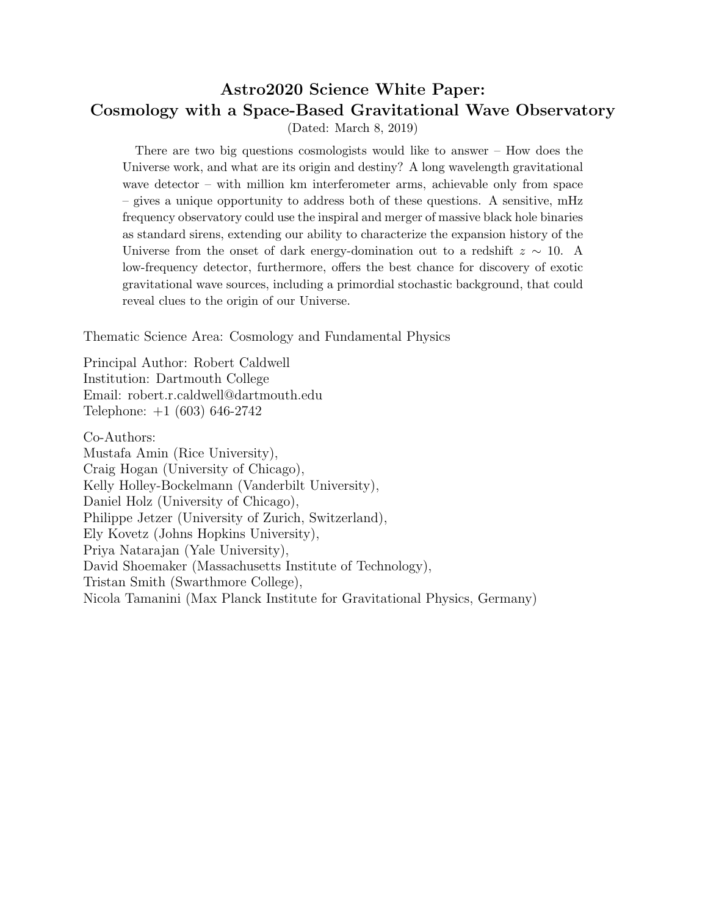# Astro2020 Science White Paper: Cosmology with a Space-Based Gravitational Wave Observatory (Dated: March 8, 2019)

There are two big questions cosmologists would like to answer – How does the Universe work, and what are its origin and destiny? A long wavelength gravitational wave detector – with million km interferometer arms, achievable only from space – gives a unique opportunity to address both of these questions. A sensitive, mHz frequency observatory could use the inspiral and merger of massive black hole binaries as standard sirens, extending our ability to characterize the expansion history of the Universe from the onset of dark energy-domination out to a redshift  $z \sim 10$ . A low-frequency detector, furthermore, offers the best chance for discovery of exotic gravitational wave sources, including a primordial stochastic background, that could reveal clues to the origin of our Universe.

Thematic Science Area: Cosmology and Fundamental Physics

Principal Author: Robert Caldwell Institution: Dartmouth College Email: robert.r.caldwell@dartmouth.edu Telephone: +1 (603) 646-2742

Co-Authors:

Mustafa Amin (Rice University), Craig Hogan (University of Chicago), Kelly Holley-Bockelmann (Vanderbilt University), Daniel Holz (University of Chicago), Philippe Jetzer (University of Zurich, Switzerland), Ely Kovetz (Johns Hopkins University), Priya Natarajan (Yale University), David Shoemaker (Massachusetts Institute of Technology), Tristan Smith (Swarthmore College), Nicola Tamanini (Max Planck Institute for Gravitational Physics, Germany)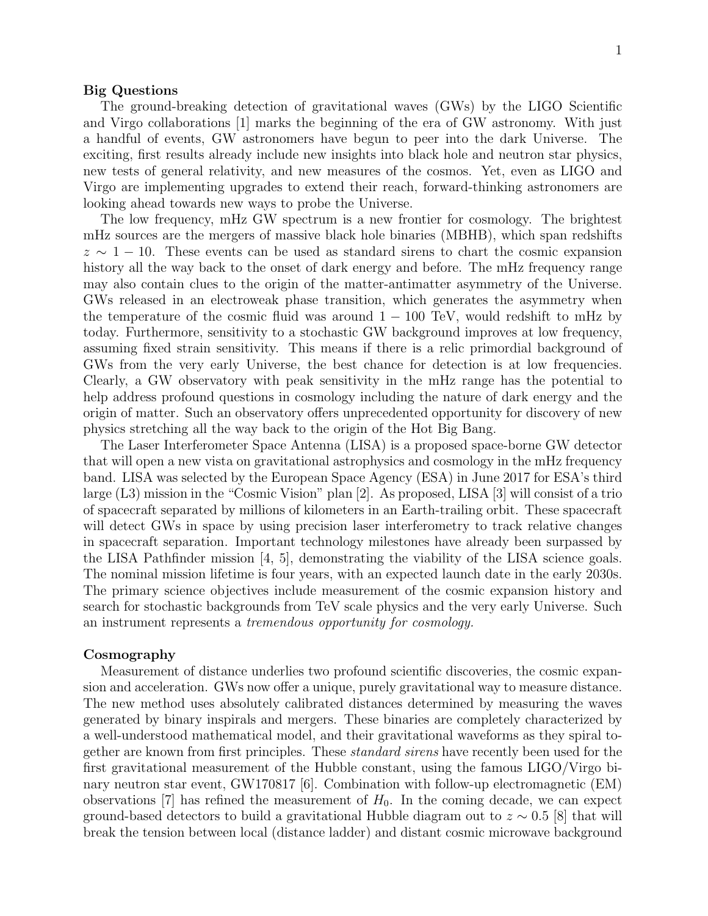### Big Questions

The ground-breaking detection of gravitational waves (GWs) by the LIGO Scientific and Virgo collaborations [1] marks the beginning of the era of GW astronomy. With just a handful of events, GW astronomers have begun to peer into the dark Universe. The exciting, first results already include new insights into black hole and neutron star physics, new tests of general relativity, and new measures of the cosmos. Yet, even as LIGO and Virgo are implementing upgrades to extend their reach, forward-thinking astronomers are looking ahead towards new ways to probe the Universe.

The low frequency, mHz GW spectrum is a new frontier for cosmology. The brightest mHz sources are the mergers of massive black hole binaries (MBHB), which span redshifts  $z \sim 1 - 10$ . These events can be used as standard sirens to chart the cosmic expansion history all the way back to the onset of dark energy and before. The mHz frequency range may also contain clues to the origin of the matter-antimatter asymmetry of the Universe. GWs released in an electroweak phase transition, which generates the asymmetry when the temperature of the cosmic fluid was around  $1 - 100$  TeV, would redshift to mHz by today. Furthermore, sensitivity to a stochastic GW background improves at low frequency, assuming fixed strain sensitivity. This means if there is a relic primordial background of GWs from the very early Universe, the best chance for detection is at low frequencies. Clearly, a GW observatory with peak sensitivity in the mHz range has the potential to help address profound questions in cosmology including the nature of dark energy and the origin of matter. Such an observatory offers unprecedented opportunity for discovery of new physics stretching all the way back to the origin of the Hot Big Bang.

The Laser Interferometer Space Antenna (LISA) is a proposed space-borne GW detector that will open a new vista on gravitational astrophysics and cosmology in the mHz frequency band. LISA was selected by the European Space Agency (ESA) in June 2017 for ESA's third large (L3) mission in the "Cosmic Vision" plan [2]. As proposed, LISA [3] will consist of a trio of spacecraft separated by millions of kilometers in an Earth-trailing orbit. These spacecraft will detect GWs in space by using precision laser interferometry to track relative changes in spacecraft separation. Important technology milestones have already been surpassed by the LISA Pathfinder mission [4, 5], demonstrating the viability of the LISA science goals. The nominal mission lifetime is four years, with an expected launch date in the early 2030s. The primary science objectives include measurement of the cosmic expansion history and search for stochastic backgrounds from TeV scale physics and the very early Universe. Such an instrument represents a tremendous opportunity for cosmology.

## Cosmography

Measurement of distance underlies two profound scientific discoveries, the cosmic expansion and acceleration. GWs now offer a unique, purely gravitational way to measure distance. The new method uses absolutely calibrated distances determined by measuring the waves generated by binary inspirals and mergers. These binaries are completely characterized by a well-understood mathematical model, and their gravitational waveforms as they spiral together are known from first principles. These standard sirens have recently been used for the first gravitational measurement of the Hubble constant, using the famous LIGO/Virgo binary neutron star event, GW170817 [6]. Combination with follow-up electromagnetic (EM) observations [7] has refined the measurement of  $H_0$ . In the coming decade, we can expect ground-based detectors to build a gravitational Hubble diagram out to  $z \sim 0.5$  [8] that will break the tension between local (distance ladder) and distant cosmic microwave background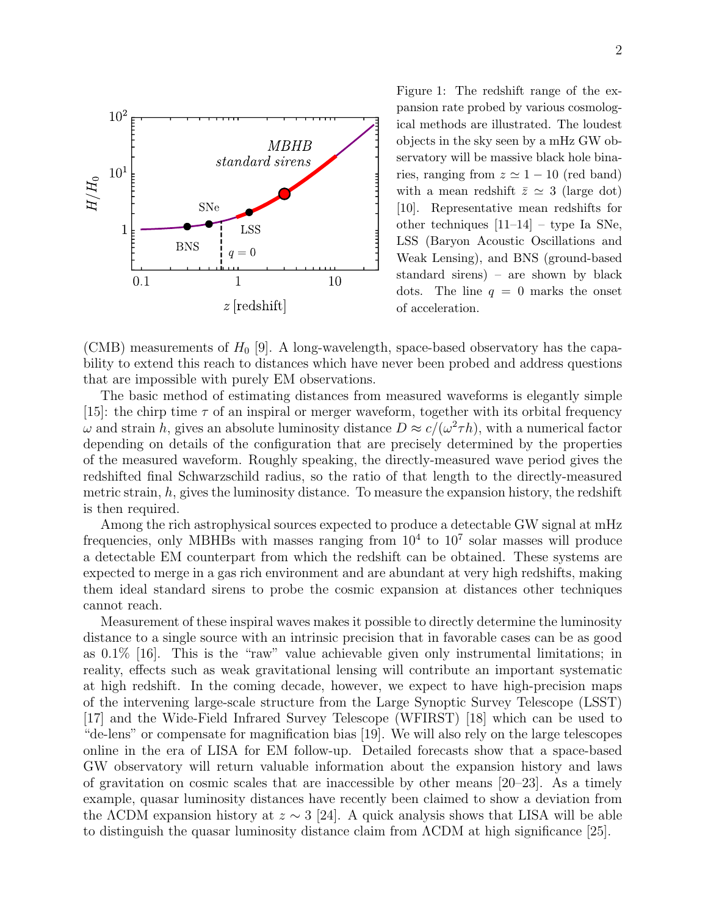

Figure 1: The redshift range of the expansion rate probed by various cosmological methods are illustrated. The loudest objects in the sky seen by a mHz GW observatory will be massive black hole binaries, ranging from  $z \approx 1 - 10$  (red band) with a mean redshift  $\bar{z} \simeq 3$  (large dot) [10]. Representative mean redshifts for other techniques [11–14] – type Ia SNe, LSS (Baryon Acoustic Oscillations and Weak Lensing), and BNS (ground-based standard sirens) – are shown by black dots. The line  $q = 0$  marks the onset of acceleration.

(CMB) measurements of  $H_0$  [9]. A long-wavelength, space-based observatory has the capability to extend this reach to distances which have never been probed and address questions that are impossible with purely EM observations.

The basic method of estimating distances from measured waveforms is elegantly simple [15]: the chirp time  $\tau$  of an inspiral or merger waveform, together with its orbital frequency  $\omega$  and strain h, gives an absolute luminosity distance  $D \approx c/(\omega^2 \tau h)$ , with a numerical factor depending on details of the configuration that are precisely determined by the properties of the measured waveform. Roughly speaking, the directly-measured wave period gives the redshifted final Schwarzschild radius, so the ratio of that length to the directly-measured metric strain,  $h$ , gives the luminosity distance. To measure the expansion history, the redshift is then required.

Among the rich astrophysical sources expected to produce a detectable GW signal at mHz frequencies, only MBHBs with masses ranging from  $10^4$  to  $10^7$  solar masses will produce a detectable EM counterpart from which the redshift can be obtained. These systems are expected to merge in a gas rich environment and are abundant at very high redshifts, making them ideal standard sirens to probe the cosmic expansion at distances other techniques cannot reach.

Measurement of these inspiral waves makes it possible to directly determine the luminosity distance to a single source with an intrinsic precision that in favorable cases can be as good as 0.1% [16]. This is the "raw" value achievable given only instrumental limitations; in reality, effects such as weak gravitational lensing will contribute an important systematic at high redshift. In the coming decade, however, we expect to have high-precision maps of the intervening large-scale structure from the Large Synoptic Survey Telescope (LSST) [17] and the Wide-Field Infrared Survey Telescope (WFIRST) [18] which can be used to "de-lens" or compensate for magnification bias [19]. We will also rely on the large telescopes online in the era of LISA for EM follow-up. Detailed forecasts show that a space-based GW observatory will return valuable information about the expansion history and laws of gravitation on cosmic scales that are inaccessible by other means  $[20-23]$ . As a timely example, quasar luminosity distances have recently been claimed to show a deviation from the ΛCDM expansion history at  $z \sim 3$  [24]. A quick analysis shows that LISA will be able to distinguish the quasar luminosity distance claim from ΛCDM at high significance [25].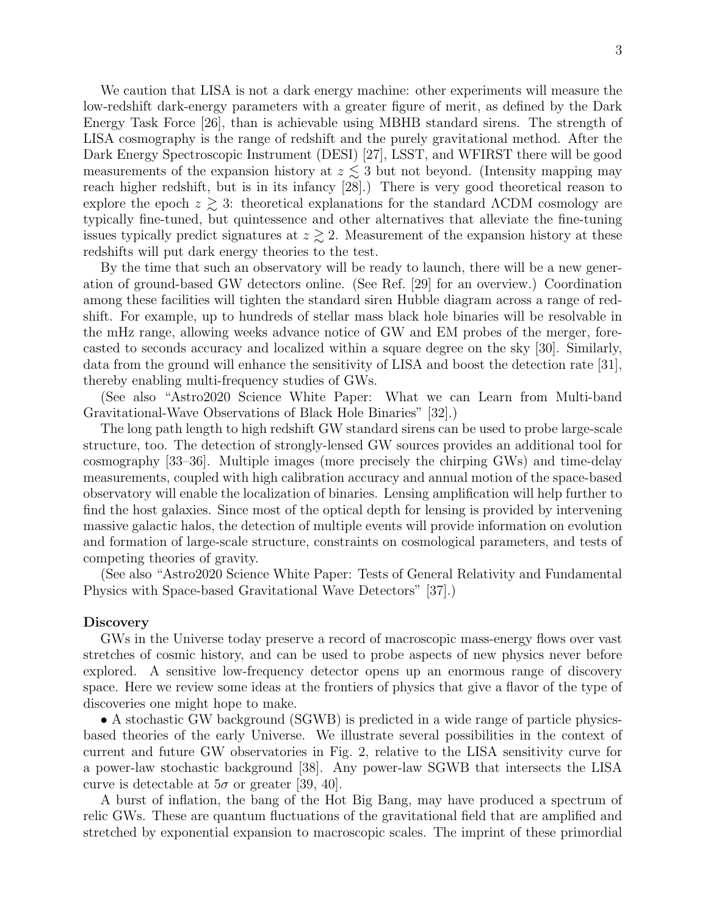We caution that LISA is not a dark energy machine: other experiments will measure the low-redshift dark-energy parameters with a greater figure of merit, as defined by the Dark Energy Task Force [26], than is achievable using MBHB standard sirens. The strength of LISA cosmography is the range of redshift and the purely gravitational method. After the Dark Energy Spectroscopic Instrument (DESI) [27], LSST, and WFIRST there will be good measurements of the expansion history at  $z \leq 3$  but not beyond. (Intensity mapping may reach higher redshift, but is in its infancy [28].) There is very good theoretical reason to explore the epoch  $z \gtrsim 3$ : theoretical explanations for the standard  $\Lambda$ CDM cosmology are typically fine-tuned, but quintessence and other alternatives that alleviate the fine-tuning issues typically predict signatures at  $z \gtrsim 2$ . Measurement of the expansion history at these redshifts will put dark energy theories to the test.

By the time that such an observatory will be ready to launch, there will be a new generation of ground-based GW detectors online. (See Ref. [29] for an overview.) Coordination among these facilities will tighten the standard siren Hubble diagram across a range of redshift. For example, up to hundreds of stellar mass black hole binaries will be resolvable in the mHz range, allowing weeks advance notice of GW and EM probes of the merger, forecasted to seconds accuracy and localized within a square degree on the sky [30]. Similarly, data from the ground will enhance the sensitivity of LISA and boost the detection rate [31], thereby enabling multi-frequency studies of GWs.

(See also "Astro2020 Science White Paper: What we can Learn from Multi-band Gravitational-Wave Observations of Black Hole Binaries" [32].)

The long path length to high redshift GW standard sirens can be used to probe large-scale structure, too. The detection of strongly-lensed GW sources provides an additional tool for cosmography [33–36]. Multiple images (more precisely the chirping GWs) and time-delay measurements, coupled with high calibration accuracy and annual motion of the space-based observatory will enable the localization of binaries. Lensing amplification will help further to find the host galaxies. Since most of the optical depth for lensing is provided by intervening massive galactic halos, the detection of multiple events will provide information on evolution and formation of large-scale structure, constraints on cosmological parameters, and tests of competing theories of gravity.

(See also "Astro2020 Science White Paper: Tests of General Relativity and Fundamental Physics with Space-based Gravitational Wave Detectors" [37].)

### Discovery

GWs in the Universe today preserve a record of macroscopic mass-energy flows over vast stretches of cosmic history, and can be used to probe aspects of new physics never before explored. A sensitive low-frequency detector opens up an enormous range of discovery space. Here we review some ideas at the frontiers of physics that give a flavor of the type of discoveries one might hope to make.

• A stochastic GW background (SGWB) is predicted in a wide range of particle physicsbased theories of the early Universe. We illustrate several possibilities in the context of current and future GW observatories in Fig. 2, relative to the LISA sensitivity curve for a power-law stochastic background [38]. Any power-law SGWB that intersects the LISA curve is detectable at  $5\sigma$  or greater [39, 40].

A burst of inflation, the bang of the Hot Big Bang, may have produced a spectrum of relic GWs. These are quantum fluctuations of the gravitational field that are amplified and stretched by exponential expansion to macroscopic scales. The imprint of these primordial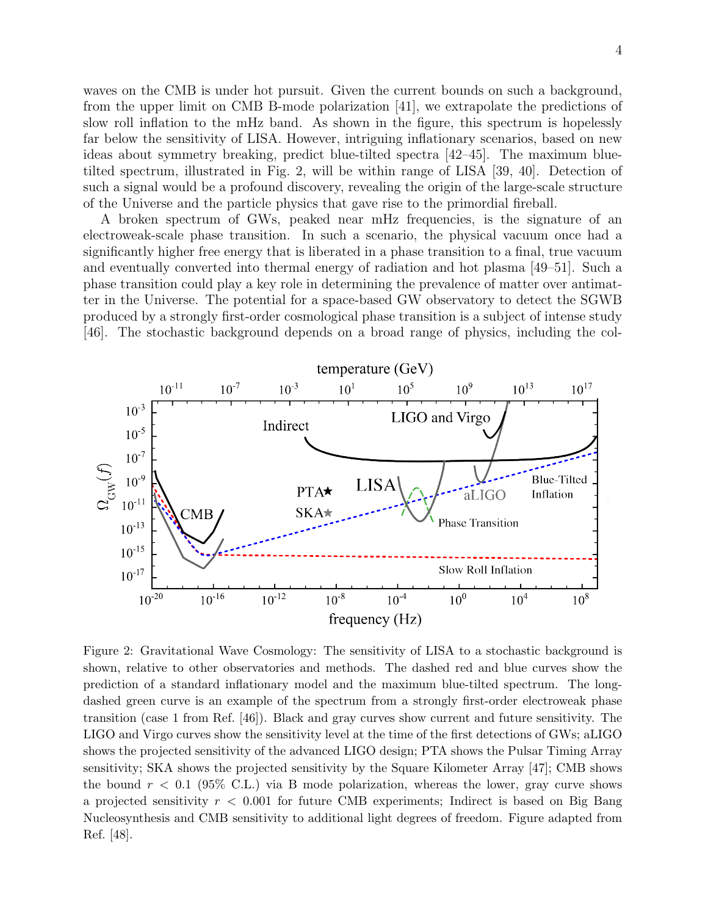waves on the CMB is under hot pursuit. Given the current bounds on such a background, from the upper limit on CMB B-mode polarization [41], we extrapolate the predictions of slow roll inflation to the mHz band. As shown in the figure, this spectrum is hopelessly far below the sensitivity of LISA. However, intriguing inflationary scenarios, based on new ideas about symmetry breaking, predict blue-tilted spectra [42–45]. The maximum bluetilted spectrum, illustrated in Fig. 2, will be within range of LISA [39, 40]. Detection of such a signal would be a profound discovery, revealing the origin of the large-scale structure of the Universe and the particle physics that gave rise to the primordial fireball.

A broken spectrum of GWs, peaked near mHz frequencies, is the signature of an electroweak-scale phase transition. In such a scenario, the physical vacuum once had a significantly higher free energy that is liberated in a phase transition to a final, true vacuum and eventually converted into thermal energy of radiation and hot plasma [49–51]. Such a phase transition could play a key role in determining the prevalence of matter over antimatter in the Universe. The potential for a space-based GW observatory to detect the SGWB produced by a strongly first-order cosmological phase transition is a subject of intense study [46]. The stochastic background depends on a broad range of physics, including the col-



Figure 2: Gravitational Wave Cosmology: The sensitivity of LISA to a stochastic background is shown, relative to other observatories and methods. The dashed red and blue curves show the prediction of a standard inflationary model and the maximum blue-tilted spectrum. The longdashed green curve is an example of the spectrum from a strongly first-order electroweak phase transition (case 1 from Ref. [46]). Black and gray curves show current and future sensitivity. The LIGO and Virgo curves show the sensitivity level at the time of the first detections of GWs; aLIGO shows the projected sensitivity of the advanced LIGO design; PTA shows the Pulsar Timing Array sensitivity; SKA shows the projected sensitivity by the Square Kilometer Array [47]; CMB shows the bound  $r < 0.1$  (95% C.L.) via B mode polarization, whereas the lower, gray curve shows a projected sensitivity  $r < 0.001$  for future CMB experiments; Indirect is based on Big Bang Nucleosynthesis and CMB sensitivity to additional light degrees of freedom. Figure adapted from Ref. [48].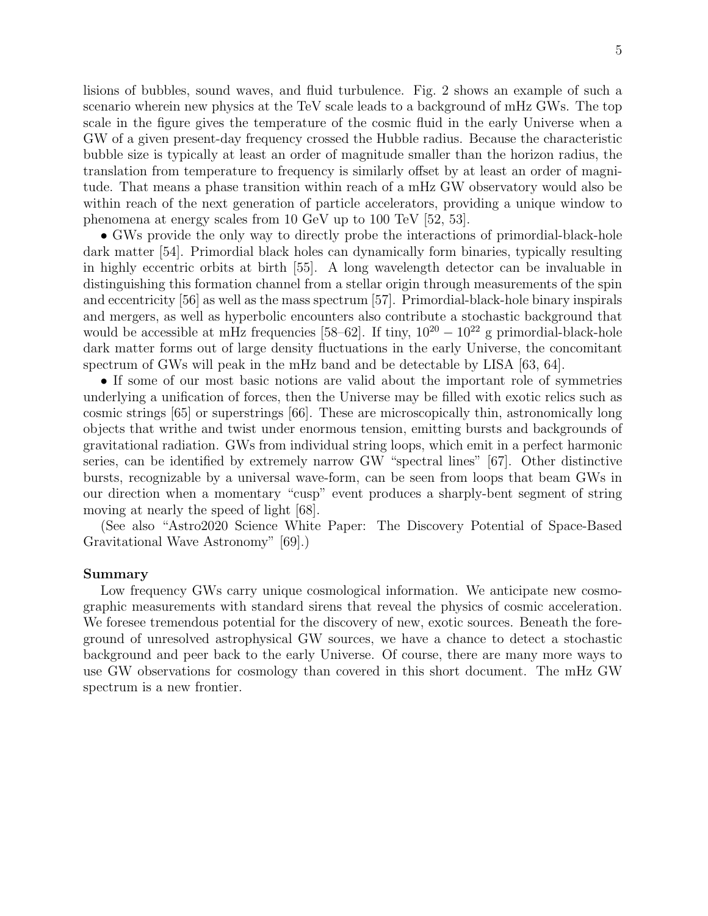lisions of bubbles, sound waves, and fluid turbulence. Fig. 2 shows an example of such a scenario wherein new physics at the TeV scale leads to a background of mHz GWs. The top scale in the figure gives the temperature of the cosmic fluid in the early Universe when a GW of a given present-day frequency crossed the Hubble radius. Because the characteristic bubble size is typically at least an order of magnitude smaller than the horizon radius, the translation from temperature to frequency is similarly offset by at least an order of magnitude. That means a phase transition within reach of a mHz GW observatory would also be within reach of the next generation of particle accelerators, providing a unique window to phenomena at energy scales from 10 GeV up to 100 TeV [52, 53].

• GWs provide the only way to directly probe the interactions of primordial-black-hole dark matter [54]. Primordial black holes can dynamically form binaries, typically resulting in highly eccentric orbits at birth [55]. A long wavelength detector can be invaluable in distinguishing this formation channel from a stellar origin through measurements of the spin and eccentricity [56] as well as the mass spectrum [57]. Primordial-black-hole binary inspirals and mergers, as well as hyperbolic encounters also contribute a stochastic background that would be accessible at mHz frequencies [58–62]. If tiny,  $10^{20} - 10^{22}$  g primordial-black-hole dark matter forms out of large density fluctuations in the early Universe, the concomitant spectrum of GWs will peak in the mHz band and be detectable by LISA [63, 64].

• If some of our most basic notions are valid about the important role of symmetries underlying a unification of forces, then the Universe may be filled with exotic relics such as cosmic strings [65] or superstrings [66]. These are microscopically thin, astronomically long objects that writhe and twist under enormous tension, emitting bursts and backgrounds of gravitational radiation. GWs from individual string loops, which emit in a perfect harmonic series, can be identified by extremely narrow GW "spectral lines" [67]. Other distinctive bursts, recognizable by a universal wave-form, can be seen from loops that beam GWs in our direction when a momentary "cusp" event produces a sharply-bent segment of string moving at nearly the speed of light [68].

(See also "Astro2020 Science White Paper: The Discovery Potential of Space-Based Gravitational Wave Astronomy" [69].)

## Summary

Low frequency GWs carry unique cosmological information. We anticipate new cosmographic measurements with standard sirens that reveal the physics of cosmic acceleration. We foresee tremendous potential for the discovery of new, exotic sources. Beneath the foreground of unresolved astrophysical GW sources, we have a chance to detect a stochastic background and peer back to the early Universe. Of course, there are many more ways to use GW observations for cosmology than covered in this short document. The mHz GW spectrum is a new frontier.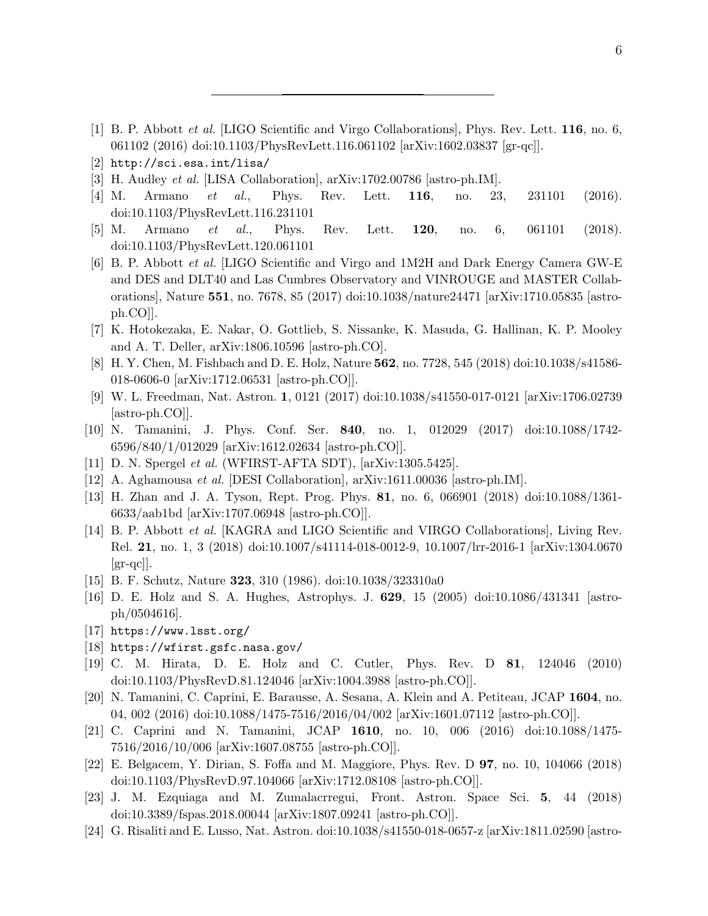- [1] B. P. Abbott et al. [LIGO Scientific and Virgo Collaborations], Phys. Rev. Lett. 116, no. 6, 061102 (2016) doi:10.1103/PhysRevLett.116.061102 [arXiv:1602.03837 [gr-qc]].
- [2] http://sci.esa.int/lisa/
- [3] H. Audley et al. [LISA Collaboration], arXiv:1702.00786 [astro-ph.IM].
- [4] M. Armano et al., Phys. Rev. Lett. **116**, no. 23, 231101 (2016). doi:10.1103/PhysRevLett.116.231101
- [5] M. Armano et al., Phys. Rev. Lett. 120, no. 6, 061101 (2018). doi:10.1103/PhysRevLett.120.061101
- [6] B. P. Abbott et al. [LIGO Scientific and Virgo and 1M2H and Dark Energy Camera GW-E and DES and DLT40 and Las Cumbres Observatory and VINROUGE and MASTER Collaborations], Nature 551, no. 7678, 85 (2017) doi:10.1038/nature24471 [arXiv:1710.05835 [astroph.CO]].
- [7] K. Hotokezaka, E. Nakar, O. Gottlieb, S. Nissanke, K. Masuda, G. Hallinan, K. P. Mooley and A. T. Deller, arXiv:1806.10596 [astro-ph.CO].
- [8] H. Y. Chen, M. Fishbach and D. E. Holz, Nature 562, no. 7728, 545 (2018) doi:10.1038/s41586- 018-0606-0 [arXiv:1712.06531 [astro-ph.CO]].
- [9] W. L. Freedman, Nat. Astron. 1, 0121 (2017) doi:10.1038/s41550-017-0121 [arXiv:1706.02739 [astro-ph.CO]].
- [10] N. Tamanini, J. Phys. Conf. Ser. 840, no. 1, 012029 (2017) doi:10.1088/1742- 6596/840/1/012029 [arXiv:1612.02634 [astro-ph.CO]].
- [11] D. N. Spergel et al. (WFIRST-AFTA SDT), [arXiv:1305.5425].
- [12] A. Aghamousa et al. [DESI Collaboration], arXiv:1611.00036 [astro-ph.IM].
- [13] H. Zhan and J. A. Tyson, Rept. Prog. Phys. 81, no. 6, 066901 (2018) doi:10.1088/1361- 6633/aab1bd [arXiv:1707.06948 [astro-ph.CO]].
- [14] B. P. Abbott et al. [KAGRA and LIGO Scientific and VIRGO Collaborations], Living Rev. Rel. 21, no. 1, 3 (2018) doi:10.1007/s41114-018-0012-9, 10.1007/lrr-2016-1 [arXiv:1304.0670  $\left[\text{gr-qc}\right]$ .
- [15] B. F. Schutz, Nature 323, 310 (1986). doi:10.1038/323310a0
- [16] D. E. Holz and S. A. Hughes, Astrophys. J. 629, 15 (2005) doi:10.1086/431341 [astroph/0504616].
- [17] https://www.lsst.org/
- [18] https://wfirst.gsfc.nasa.gov/
- [19] C. M. Hirata, D. E. Holz and C. Cutler, Phys. Rev. D 81, 124046 (2010) doi:10.1103/PhysRevD.81.124046 [arXiv:1004.3988 [astro-ph.CO]].
- [20] N. Tamanini, C. Caprini, E. Barausse, A. Sesana, A. Klein and A. Petiteau, JCAP 1604, no. 04, 002 (2016) doi:10.1088/1475-7516/2016/04/002 [arXiv:1601.07112 [astro-ph.CO]].
- [21] C. Caprini and N. Tamanini, JCAP 1610, no. 10, 006 (2016) doi:10.1088/1475- 7516/2016/10/006 [arXiv:1607.08755 [astro-ph.CO]].
- [22] E. Belgacem, Y. Dirian, S. Foffa and M. Maggiore, Phys. Rev. D 97, no. 10, 104066 (2018) doi:10.1103/PhysRevD.97.104066 [arXiv:1712.08108 [astro-ph.CO]].
- [23] J. M. Ezquiaga and M. Zumalacrregui, Front. Astron. Space Sci. 5, 44 (2018) doi:10.3389/fspas.2018.00044 [arXiv:1807.09241 [astro-ph.CO]].
- [24] G. Risaliti and E. Lusso, Nat. Astron. doi:10.1038/s41550-018-0657-z [arXiv:1811.02590 [astro-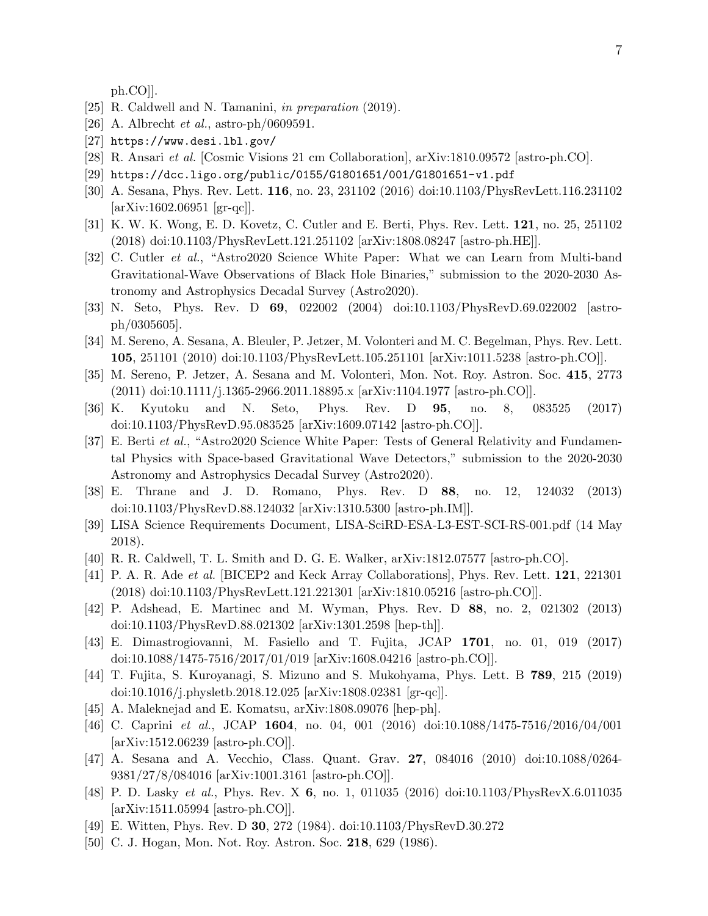ph.CO]].

- [25] R. Caldwell and N. Tamanini, in preparation (2019).
- [26] A. Albrecht *et al.*, astro-ph/0609591.
- [27] https://www.desi.lbl.gov/
- [28] R. Ansari et al. [Cosmic Visions 21 cm Collaboration], arXiv:1810.09572 [astro-ph.CO].
- [29] https://dcc.ligo.org/public/0155/G1801651/001/G1801651-v1.pdf
- [30] A. Sesana, Phys. Rev. Lett. 116, no. 23, 231102 (2016) doi:10.1103/PhysRevLett.116.231102 [arXiv:1602.06951 [gr-qc]].
- [31] K. W. K. Wong, E. D. Kovetz, C. Cutler and E. Berti, Phys. Rev. Lett. 121, no. 25, 251102 (2018) doi:10.1103/PhysRevLett.121.251102 [arXiv:1808.08247 [astro-ph.HE]].
- [32] C. Cutler et al., "Astro2020 Science White Paper: What we can Learn from Multi-band Gravitational-Wave Observations of Black Hole Binaries," submission to the 2020-2030 Astronomy and Astrophysics Decadal Survey (Astro2020).
- [33] N. Seto, Phys. Rev. D 69, 022002 (2004) doi:10.1103/PhysRevD.69.022002 [astroph/0305605].
- [34] M. Sereno, A. Sesana, A. Bleuler, P. Jetzer, M. Volonteri and M. C. Begelman, Phys. Rev. Lett. 105, 251101 (2010) doi:10.1103/PhysRevLett.105.251101 [arXiv:1011.5238 [astro-ph.CO]].
- [35] M. Sereno, P. Jetzer, A. Sesana and M. Volonteri, Mon. Not. Roy. Astron. Soc. 415, 2773 (2011) doi:10.1111/j.1365-2966.2011.18895.x [arXiv:1104.1977 [astro-ph.CO]].
- [36] K. Kyutoku and N. Seto, Phys. Rev. D 95, no. 8, 083525 (2017) doi:10.1103/PhysRevD.95.083525 [arXiv:1609.07142 [astro-ph.CO]].
- [37] E. Berti et al., "Astro2020 Science White Paper: Tests of General Relativity and Fundamental Physics with Space-based Gravitational Wave Detectors," submission to the 2020-2030 Astronomy and Astrophysics Decadal Survey (Astro2020).
- [38] E. Thrane and J. D. Romano, Phys. Rev. D 88, no. 12, 124032 (2013) doi:10.1103/PhysRevD.88.124032 [arXiv:1310.5300 [astro-ph.IM]].
- [39] LISA Science Requirements Document, LISA-SciRD-ESA-L3-EST-SCI-RS-001.pdf (14 May 2018).
- [40] R. R. Caldwell, T. L. Smith and D. G. E. Walker, arXiv:1812.07577 [astro-ph.CO].
- [41] P. A. R. Ade et al. [BICEP2 and Keck Array Collaborations], Phys. Rev. Lett. 121, 221301 (2018) doi:10.1103/PhysRevLett.121.221301 [arXiv:1810.05216 [astro-ph.CO]].
- [42] P. Adshead, E. Martinec and M. Wyman, Phys. Rev. D 88, no. 2, 021302 (2013) doi:10.1103/PhysRevD.88.021302 [arXiv:1301.2598 [hep-th]].
- [43] E. Dimastrogiovanni, M. Fasiello and T. Fujita, JCAP 1701, no. 01, 019 (2017) doi:10.1088/1475-7516/2017/01/019 [arXiv:1608.04216 [astro-ph.CO]].
- [44] T. Fujita, S. Kuroyanagi, S. Mizuno and S. Mukohyama, Phys. Lett. B 789, 215 (2019) doi:10.1016/j.physletb.2018.12.025 [arXiv:1808.02381 [gr-qc]].
- [45] A. Maleknejad and E. Komatsu, arXiv:1808.09076 [hep-ph].
- [46] C. Caprini et al., JCAP 1604, no. 04, 001 (2016) doi:10.1088/1475-7516/2016/04/001 [arXiv:1512.06239 [astro-ph.CO]].
- [47] A. Sesana and A. Vecchio, Class. Quant. Grav. 27, 084016 (2010) doi:10.1088/0264- 9381/27/8/084016 [arXiv:1001.3161 [astro-ph.CO]].
- [48] P. D. Lasky et al., Phys. Rev. X 6, no. 1, 011035 (2016) doi:10.1103/PhysRevX.6.011035 [arXiv:1511.05994 [astro-ph.CO]].
- [49] E. Witten, Phys. Rev. D 30, 272 (1984). doi:10.1103/PhysRevD.30.272
- [50] C. J. Hogan, Mon. Not. Roy. Astron. Soc. 218, 629 (1986).